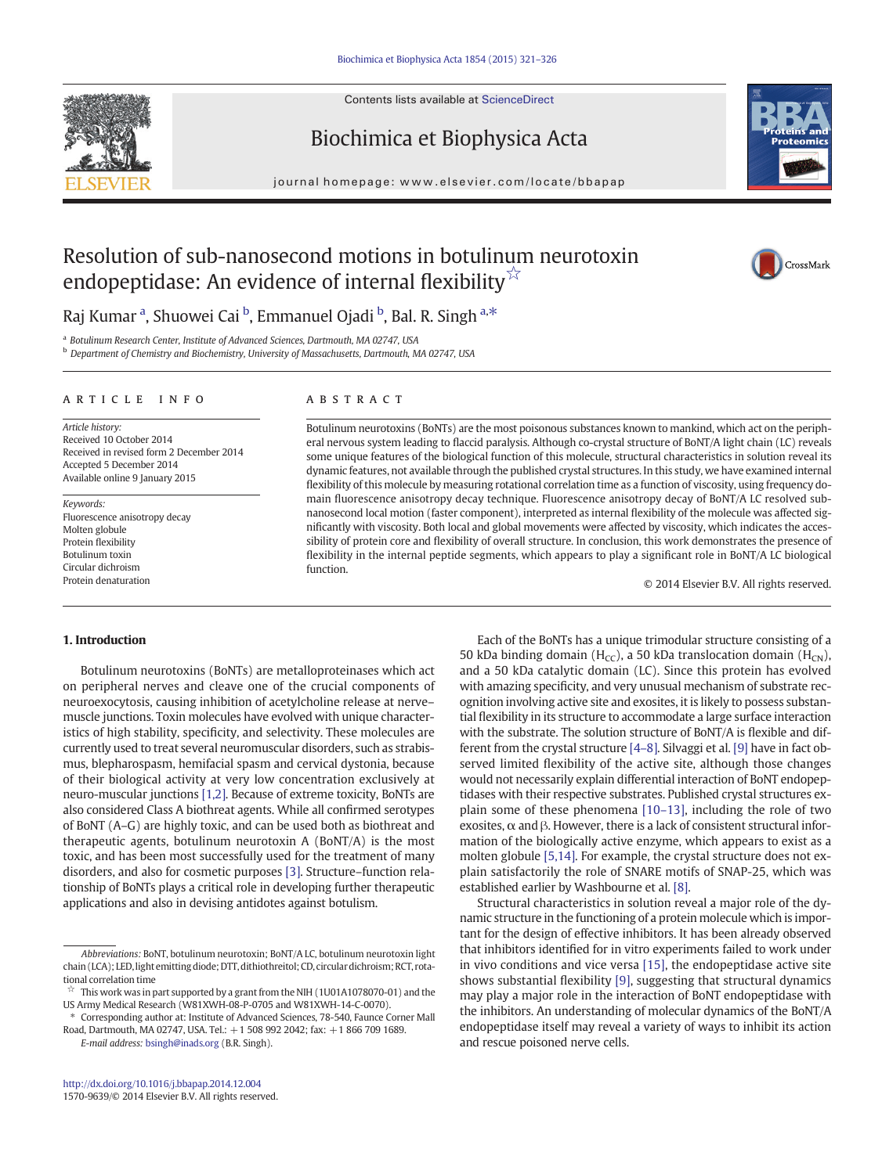Contents lists available at ScienceDirect





journal homepage: www.elsevier.com/locate/bbapap



# Resolution of sub-nanosecond motions in botulinum neurotoxin endopeptidase: An evidence of internal flexibility<sup>☆</sup>

CrossMark

Raj Kumar <sup>a</sup>, Shuowei Cai <sup>b</sup>, Emmanuel Ojadi <sup>b</sup>, Bal. R. Singh <sup>a,\*</sup>

a Botulinum Research Center, Institute of Advanced Sciences, Dartmouth, MA 02747, USA

b Department of Chemistry and Biochemistry, University of Massachusetts, Dartmouth, MA 02747, USA

#### article info abstract

Article history: Received 10 October 2014 Received in revised form 2 December 2014 Accepted 5 December 2014 Available online 9 January 2015

Keywords: Fluorescence anisotropy decay Molten globule Protein flexibility Botulinum toxin Circular dichroism Protein denaturation

Botulinum neurotoxins (BoNTs) are the most poisonous substances known to mankind, which act on the peripheral nervous system leading to flaccid paralysis. Although co-crystal structure of BoNT/A light chain (LC) reveals some unique features of the biological function of this molecule, structural characteristics in solution reveal its dynamic features, not available through the published crystal structures. In this study, we have examined internal flexibility of this molecule by measuring rotational correlation time as a function of viscosity, using frequency domain fluorescence anisotropy decay technique. Fluorescence anisotropy decay of BoNT/A LC resolved subnanosecond local motion (faster component), interpreted as internal flexibility of the molecule was affected significantly with viscosity. Both local and global movements were affected by viscosity, which indicates the accessibility of protein core and flexibility of overall structure. In conclusion, this work demonstrates the presence of flexibility in the internal peptide segments, which appears to play a significant role in BoNT/A LC biological function.

© 2014 Elsevier B.V. All rights reserved.

# 1. Introduction

Botulinum neurotoxins (BoNTs) are metalloproteinases which act on peripheral nerves and cleave one of the crucial components of neuroexocytosis, causing inhibition of acetylcholine release at nerve– muscle junctions. Toxin molecules have evolved with unique characteristics of high stability, specificity, and selectivity. These molecules are currently used to treat several neuromuscular disorders, such as strabismus, blepharospasm, hemifacial spasm and cervical dystonia, because of their biological activity at very low concentration exclusively at neuro-muscular junctions [\[1,2\]](#page-5-0). Because of extreme toxicity, BoNTs are also considered Class A biothreat agents. While all confirmed serotypes of BoNT (A–G) are highly toxic, and can be used both as biothreat and therapeutic agents, botulinum neurotoxin A (BoNT/A) is the most toxic, and has been most successfully used for the treatment of many disorders, and also for cosmetic purposes [\[3\].](#page-5-0) Structure–function relationship of BoNTs plays a critical role in developing further therapeutic applications and also in devising antidotes against botulism.

E-mail address: [bsingh@inads.org](mailto:bsingh@inads.org) (B.R. Singh).

Each of the BoNTs has a unique trimodular structure consisting of a 50 kDa binding domain (H<sub>CC</sub>), a 50 kDa translocation domain (H<sub>CN</sub>), and a 50 kDa catalytic domain (LC). Since this protein has evolved with amazing specificity, and very unusual mechanism of substrate recognition involving active site and exosites, it is likely to possess substantial flexibility in its structure to accommodate a large surface interaction with the substrate. The solution structure of BoNT/A is flexible and different from the crystal structure [\[4](#page-5-0)–8]. Silvaggi et al. [\[9\]](#page-5-0) have in fact observed limited flexibility of the active site, although those changes would not necessarily explain differential interaction of BoNT endopeptidases with their respective substrates. Published crystal structures explain some of these phenomena [10–[13\],](#page-5-0) including the role of two exosites,  $\alpha$  and  $\beta$ . However, there is a lack of consistent structural information of the biologically active enzyme, which appears to exist as a molten globule [\[5,14\]](#page-5-0). For example, the crystal structure does not explain satisfactorily the role of SNARE motifs of SNAP-25, which was established earlier by Washbourne et al. [\[8\].](#page-5-0)

Structural characteristics in solution reveal a major role of the dynamic structure in the functioning of a protein molecule which is important for the design of effective inhibitors. It has been already observed that inhibitors identified for in vitro experiments failed to work under in vivo conditions and vice versa [\[15\]](#page-5-0), the endopeptidase active site shows substantial flexibility [\[9\],](#page-5-0) suggesting that structural dynamics may play a major role in the interaction of BoNT endopeptidase with the inhibitors. An understanding of molecular dynamics of the BoNT/A endopeptidase itself may reveal a variety of ways to inhibit its action and rescue poisoned nerve cells.

Abbreviations: BoNT, botulinum neurotoxin; BoNT/A LC, botulinum neurotoxin light chain (LCA); LED, light emitting diode; DTT, dithiothreitol; CD, circular dichroism; RCT, rotational correlation time

This work was in part supported by a grant from the NIH (1U01A1078070-01) and the US Army Medical Research (W81XWH-08-P-0705 and W81XWH-14-C-0070).

<sup>⁎</sup> Corresponding author at: Institute of Advanced Sciences, 78-540, Faunce Corner Mall Road, Dartmouth, MA 02747, USA. Tel.: +1 508 992 2042; fax: +1 866 709 1689.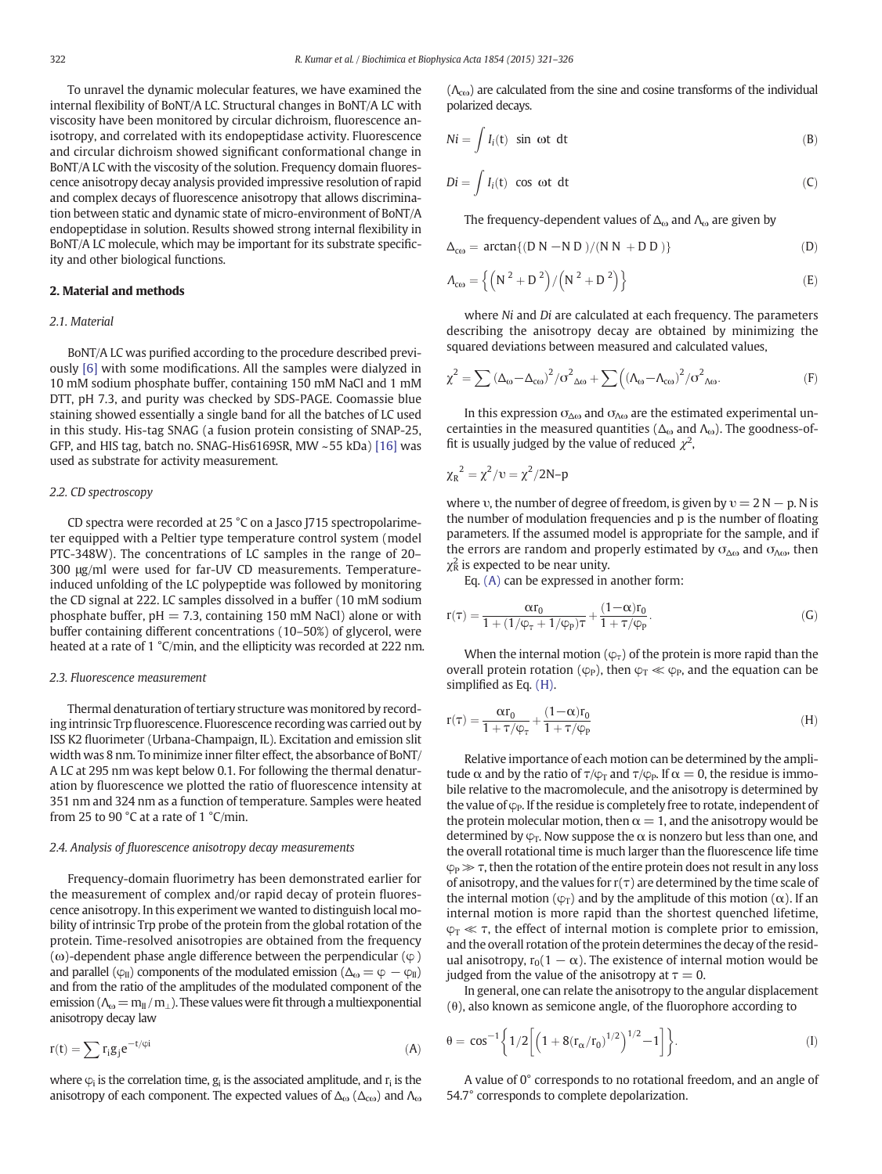<span id="page-1-0"></span>To unravel the dynamic molecular features, we have examined the internal flexibility of BoNT/A LC. Structural changes in BoNT/A LC with viscosity have been monitored by circular dichroism, fluorescence anisotropy, and correlated with its endopeptidase activity. Fluorescence and circular dichroism showed significant conformational change in BoNT/A LC with the viscosity of the solution. Frequency domain fluorescence anisotropy decay analysis provided impressive resolution of rapid and complex decays of fluorescence anisotropy that allows discrimination between static and dynamic state of micro-environment of BoNT/A endopeptidase in solution. Results showed strong internal flexibility in BoNT/A LC molecule, which may be important for its substrate specificity and other biological functions.

# 2. Material and methods

#### 2.1. Material

BoNT/A LC was purified according to the procedure described previously [\[6\]](#page-5-0) with some modifications. All the samples were dialyzed in 10 mM sodium phosphate buffer, containing 150 mM NaCl and 1 mM DTT, pH 7.3, and purity was checked by SDS-PAGE. Coomassie blue staining showed essentially a single band for all the batches of LC used in this study. His-tag SNAG (a fusion protein consisting of SNAP-25, GFP, and HIS tag, batch no. SNAG-His6169SR, MW ~55 kDa) [\[16\]](#page-5-0) was used as substrate for activity measurement.

# 2.2. CD spectroscopy

CD spectra were recorded at 25 °C on a Jasco J715 spectropolarimeter equipped with a Peltier type temperature control system (model PTC-348W). The concentrations of LC samples in the range of 20– 300 μg/ml were used for far-UV CD measurements. Temperatureinduced unfolding of the LC polypeptide was followed by monitoring the CD signal at 222. LC samples dissolved in a buffer (10 mM sodium phosphate buffer,  $pH = 7.3$ , containing 150 mM NaCl) alone or with buffer containing different concentrations (10–50%) of glycerol, were heated at a rate of 1 °C/min, and the ellipticity was recorded at 222 nm.

#### 2.3. Fluorescence measurement

Thermal denaturation of tertiary structure was monitored by recording intrinsic Trp fluorescence. Fluorescence recording was carried out by ISS K2 fluorimeter (Urbana-Champaign, IL). Excitation and emission slit width was 8 nm. To minimize inner filter effect, the absorbance of BoNT/ A LC at 295 nm was kept below 0.1. For following the thermal denaturation by fluorescence we plotted the ratio of fluorescence intensity at 351 nm and 324 nm as a function of temperature. Samples were heated from 25 to 90  $^{\circ}$ C at a rate of 1  $^{\circ}$ C/min.

#### 2.4. Analysis of fluorescence anisotropy decay measurements

Frequency-domain fluorimetry has been demonstrated earlier for the measurement of complex and/or rapid decay of protein fluorescence anisotropy. In this experiment we wanted to distinguish local mobility of intrinsic Trp probe of the protein from the global rotation of the protein. Time-resolved anisotropies are obtained from the frequency (ω)-dependent phase angle difference between the perpendicular ( $φ$ ) and parallel ( $\varphi$ <sub>II</sub>) components of the modulated emission ( $\Delta$ <sub>ω</sub> =  $\varphi$  -  $\varphi$ <sub>II</sub>) and from the ratio of the amplitudes of the modulated component of the emission ( $\Lambda_{\omega} = m_{II}/m_{II}$ ). These values were fit through a multiexponential anisotropy decay law

$$
r(t) = \sum r_i g_j e^{-t/\phi i}
$$
 (A)

where  $\varphi_i$  is the correlation time,  $g_i$  is the associated amplitude, and  $r_i$  is the anisotropy of each component. The expected values of  $\Delta_{\omega}$  ( $\Delta_{\text{co}}$ ) and  $\Lambda_{\omega}$   $(\Lambda_{\rm co})$  are calculated from the sine and cosine transforms of the individual polarized decays.

$$
Ni = \int I_i(t) \sin \omega t \, dt \tag{B}
$$

$$
Di = \int I_i(t) \cos \omega t \, dt \tag{C}
$$

The frequency-dependent values of  $\Delta_{\omega}$  and  $\Lambda_{\omega}$  are given by

$$
\Delta_{\text{co}} = \arctan\{ (D \ N - N \ D) / (N \ N + D \ D) \} \tag{D}
$$

$$
A_{\rm{co}} = \left\{ \left( N^2 + D^2 \right) / \left( N^2 + D^2 \right) \right\} \tag{E}
$$

where Ni and Di are calculated at each frequency. The parameters describing the anisotropy decay are obtained by minimizing the squared deviations between measured and calculated values,

$$
\chi^2 = \sum \left(\Delta_{\omega} - \Delta_{\text{CO}}\right)^2 / \sigma^2_{\Delta\omega} + \sum \left(\left(\Lambda_{\omega} - \Lambda_{\text{CO}}\right)^2 / \sigma^2_{\Delta\omega}.\right)
$$
 (F)

In this expression  $\sigma_{\Delta\omega}$  and  $\sigma_{\Lambda\omega}$  are the estimated experimental uncertainties in the measured quantities ( $\Delta_{\omega}$  and  $\Lambda_{\omega}$ ). The goodness-offit is usually judged by the value of reduced  $\chi^2$ ,

$$
\chi_R^2 = \chi^2/v = \chi^2/2N-p
$$

where v, the number of degree of freedom, is given by  $v = 2N - p$ . N is the number of modulation frequencies and p is the number of floating parameters. If the assumed model is appropriate for the sample, and if the errors are random and properly estimated by  $\sigma_{\Delta\omega}$  and  $\sigma_{\Lambda\omega}$ , then  $\chi^2$  is expected to be near unity.

Eq. (A) can be expressed in another form:

$$
r(\tau) = \frac{\alpha r_0}{1 + (1/\phi_\tau + 1/\phi_P)\tau} + \frac{(1-\alpha)r_0}{1 + \tau/\phi_P}.
$$
 (G)

When the internal motion ( $\varphi_{\tau}$ ) of the protein is more rapid than the overall protein rotation ( $\varphi_P$ ), then  $\varphi_T \ll \varphi_P$ , and the equation can be simplified as Eq. (H).

$$
r(\tau) = \frac{\alpha r_0}{1 + \tau/\phi_\tau} + \frac{(1-\alpha)r_0}{1 + \tau/\phi_P} \tag{H}
$$

Relative importance of each motion can be determined by the amplitude α and by the ratio of  $\tau/\varphi_T$  and  $\tau/\varphi_P$ . If  $\alpha = 0$ , the residue is immobile relative to the macromolecule, and the anisotropy is determined by the value of  $\varphi_P$ . If the residue is completely free to rotate, independent of the protein molecular motion, then  $\alpha = 1$ , and the anisotropy would be determined by  $\varphi_T$ . Now suppose the  $\alpha$  is nonzero but less than one, and the overall rotational time is much larger than the fluorescence life time  $\varphi_P \gg \tau$ , then the rotation of the entire protein does not result in any loss of anisotropy, and the values for  $r(\tau)$  are determined by the time scale of the internal motion ( $\varphi_T$ ) and by the amplitude of this motion ( $\alpha$ ). If an internal motion is more rapid than the shortest quenched lifetime,  $\varphi_T \ll \tau$ , the effect of internal motion is complete prior to emission, and the overall rotation of the protein determines the decay of the residual anisotropy,  $r_0(1 - \alpha)$ . The existence of internal motion would be judged from the value of the anisotropy at  $\tau = 0$ .

In general, one can relate the anisotropy to the angular displacement (θ), also known as semicone angle, of the fluorophore according to

$$
\theta = \cos^{-1}\left\{1/2\left[\left(1 + 8(r_\alpha/r_0)^{1/2}\right)^{1/2} - 1\right]\right\}.
$$
 (I)

A value of 0° corresponds to no rotational freedom, and an angle of 54.7° corresponds to complete depolarization.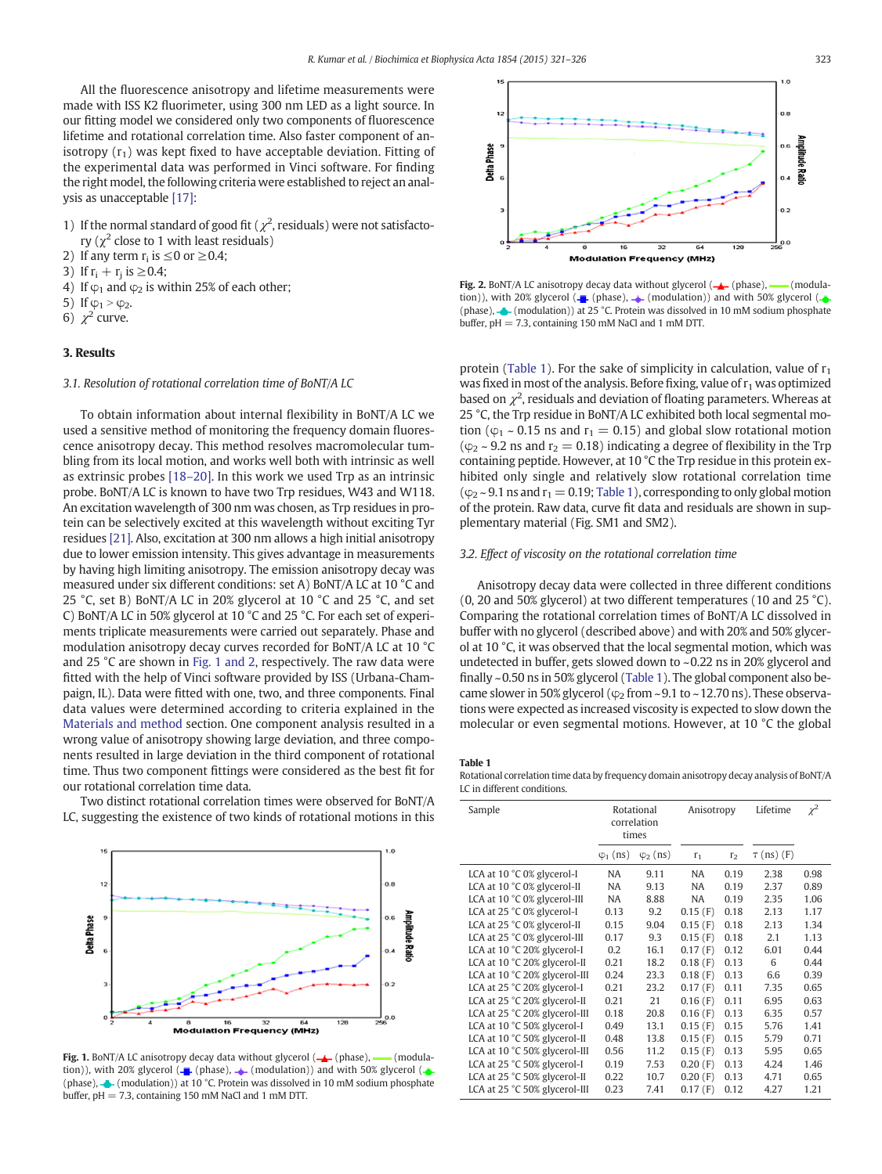<span id="page-2-0"></span>All the fluorescence anisotropy and lifetime measurements were made with ISS K2 fluorimeter, using 300 nm LED as a light source. In our fitting model we considered only two components of fluorescence lifetime and rotational correlation time. Also faster component of anisotropy  $(r_1)$  was kept fixed to have acceptable deviation. Fitting of the experimental data was performed in Vinci software. For finding the right model, the following criteria were established to reject an analysis as unacceptable [\[17\]:](#page-5-0)

- 1) If the normal standard of good fit ( $\chi^2$ , residuals) were not satisfactory ( $\chi^2$  close to 1 with least residuals)
- 2) If any term  $r_i$  is  $\leq 0$  or  $\geq 0.4$ ;
- 3) If  $r_i + r_j$  is  $\geq 0.4$ ;
- 4) If  $\varphi_1$  and  $\varphi_2$  is within 25% of each other;
- 5) If  $\varphi_1 > \varphi_2$ .
- 6)  $\chi^2$  curve.

## 3. Results

# 3.1. Resolution of rotational correlation time of BoNT/A LC

To obtain information about internal flexibility in BoNT/A LC we used a sensitive method of monitoring the frequency domain fluorescence anisotropy decay. This method resolves macromolecular tumbling from its local motion, and works well both with intrinsic as well as extrinsic probes [18–[20\].](#page-5-0) In this work we used Trp as an intrinsic probe. BoNT/A LC is known to have two Trp residues, W43 and W118. An excitation wavelength of 300 nm was chosen, as Trp residues in protein can be selectively excited at this wavelength without exciting Tyr residues [\[21\]](#page-5-0). Also, excitation at 300 nm allows a high initial anisotropy due to lower emission intensity. This gives advantage in measurements by having high limiting anisotropy. The emission anisotropy decay was measured under six different conditions: set A) BoNT/A LC at 10 °C and 25 °C, set B) BoNT/A LC in 20% glycerol at 10 °C and 25 °C, and set C) BoNT/A LC in 50% glycerol at 10 °C and 25 °C. For each set of experiments triplicate measurements were carried out separately. Phase and modulation anisotropy decay curves recorded for BoNT/A LC at 10 °C and 25 °C are shown in Fig. 1 and 2, respectively. The raw data were fitted with the help of Vinci software provided by ISS (Urbana-Champaign, IL). Data were fitted with one, two, and three components. Final data values were determined according to criteria explained in the [Materials and method](#page-1-0) section. One component analysis resulted in a wrong value of anisotropy showing large deviation, and three components resulted in large deviation in the third component of rotational time. Thus two component fittings were considered as the best fit for our rotational correlation time data.

Two distinct rotational correlation times were observed for BoNT/A LC, suggesting the existence of two kinds of rotational motions in this



Fig. 1. BoNT/A LC anisotropy decay data without glycerol  $(\frac{1}{\sqrt{2}} \cdot (phase)$ ,  $\frac{1}{\sqrt{2}} \cdot (mode)$ tion)), with 20% glycerol ( $\leftarrow$  (phase),  $\leftarrow$  (modulation)) and with 50% glycerol ( $\leftarrow$ (phase),  $\bullet$  (modulation)) at 10 °C. Protein was dissolved in 10 mM sodium phosphate buffer, pH = 7.3, containing 150 mM NaCl and 1 mM DTT.



Fig. 2. BoNT/A LC anisotropy decay data without glycerol  $(-)$  (phase), — (modulation)), with 20% glycerol ( $\leftarrow$  (phase),  $\leftarrow$  (modulation)) and with 50% glycerol ( $\leftarrow$ (phase),  $\bigtriangleup$  (modulation)) at 25 °C. Protein was dissolved in 10 mM sodium phosphate buffer, pH = 7.3, containing 150 mM NaCl and 1 mM DTT.

protein (Table 1). For the sake of simplicity in calculation, value of  $r_1$ was fixed in most of the analysis. Before fixing, value of  $r_1$  was optimized based on  $\chi^2$ , residuals and deviation of floating parameters. Whereas at 25 °C, the Trp residue in BoNT/A LC exhibited both local segmental motion ( $\varphi_1 \sim 0.15$  ns and  $r_1 = 0.15$ ) and global slow rotational motion ( $\varphi$ <sub>2</sub> ~ 9.2 ns and r<sub>2</sub> = 0.18) indicating a degree of flexibility in the Trp containing peptide. However, at 10 °C the Trp residue in this protein exhibited only single and relatively slow rotational correlation time  $(\varphi_2 \sim 9.1 \text{ ns and } r_1 = 0.19;$  Table 1), corresponding to only global motion of the protein. Raw data, curve fit data and residuals are shown in supplementary material (Fig. SM1 and SM2).

## 3.2. Effect of viscosity on the rotational correlation time

Anisotropy decay data were collected in three different conditions (0, 20 and 50% glycerol) at two different temperatures (10 and 25 °C). Comparing the rotational correlation times of BoNT/A LC dissolved in buffer with no glycerol (described above) and with 20% and 50% glycerol at 10 °C, it was observed that the local segmental motion, which was undetected in buffer, gets slowed down to ~0.22 ns in 20% glycerol and finally ~0.50 ns in 50% glycerol (Table 1). The global component also became slower in 50% glycerol ( $\varphi$ <sub>2</sub> from ~9.1 to ~12.70 ns). These observations were expected as increased viscosity is expected to slow down the molecular or even segmental motions. However, at 10 °C the global

#### Table 1

Rotational correlation time data by frequency domain anisotropy decay analysis of BoNT/A LC in different conditions.

| Sample                        | Rotational<br>correlation<br>times |                  | Anisotropy |                | Lifetime        | $\chi^2$ |
|-------------------------------|------------------------------------|------------------|------------|----------------|-----------------|----------|
|                               | $\varphi_1$ (ns)                   | $\varphi_2$ (ns) | $\Gamma_1$ | r <sub>2</sub> | $\tau$ (ns) (F) |          |
| LCA at 10 °C 0% glycerol-I    | NA                                 | 9.11             | NA         | 0.19           | 2.38            | 0.98     |
| LCA at 10 °C 0% glycerol-II   | NA                                 | 9.13             | NA         | 0.19           | 2.37            | 0.89     |
| LCA at 10 °C 0% glycerol-III  | <b>NA</b>                          | 8.88             | NA         | 0.19           | 2.35            | 1.06     |
| LCA at 25 °C 0% glycerol-I    | 0.13                               | 9.2              | 0.15(F)    | 0.18           | 2.13            | 1.17     |
| LCA at 25 °C 0% glycerol-II   | 0.15                               | 9.04             | 0.15(F)    | 0.18           | 2.13            | 1.34     |
| LCA at 25 °C 0% glycerol-III  | 0.17                               | 9.3              | 0.15(F)    | 0.18           | 2.1             | 1.13     |
| LCA at 10 °C 20% glycerol-I   | 0.2                                | 16.1             | 0.17(F)    | 0.12           | 6.01            | 0.44     |
| LCA at 10 °C 20% glycerol-II  | 0.21                               | 18.2             | 0.18(F)    | 0.13           | 6               | 0.44     |
| LCA at 10 °C 20% glycerol-III | 0.24                               | 23.3             | 0.18(F)    | 0.13           | 6.6             | 0.39     |
| LCA at 25 °C 20% glycerol-I   | 0.21                               | 23.2             | 0.17(F)    | 0.11           | 7.35            | 0.65     |
| LCA at 25 °C 20% glycerol-II  | 0.21                               | 21               | 0.16(F)    | 0.11           | 6.95            | 0.63     |
| LCA at 25 °C 20% glycerol-III | 0.18                               | 20.8             | 0.16(F)    | 0.13           | 6.35            | 0.57     |
| LCA at 10 °C 50% glycerol-I   | 0.49                               | 13.1             | 0.15(F)    | 0.15           | 5.76            | 1.41     |
| LCA at 10 °C 50% glycerol-II  | 0.48                               | 13.8             | 0.15(F)    | 0.15           | 5.79            | 0.71     |
| LCA at 10 °C 50% glycerol-III | 0.56                               | 11.2             | 0.15(F)    | 0.13           | 5.95            | 0.65     |
| LCA at 25 °C 50% glycerol-I   | 0.19                               | 7.53             | 0.20(F)    | 0.13           | 4.24            | 1.46     |
| LCA at 25 °C 50% glycerol-II  | 0.22                               | 10.7             | 0.20(F)    | 0.13           | 4.71            | 0.65     |
| LCA at 25 °C 50% glycerol-III | 0.23                               | 7.41             | 0.17(F)    | 0.12           | 4.27            | 1.21     |
|                               |                                    |                  |            |                |                 |          |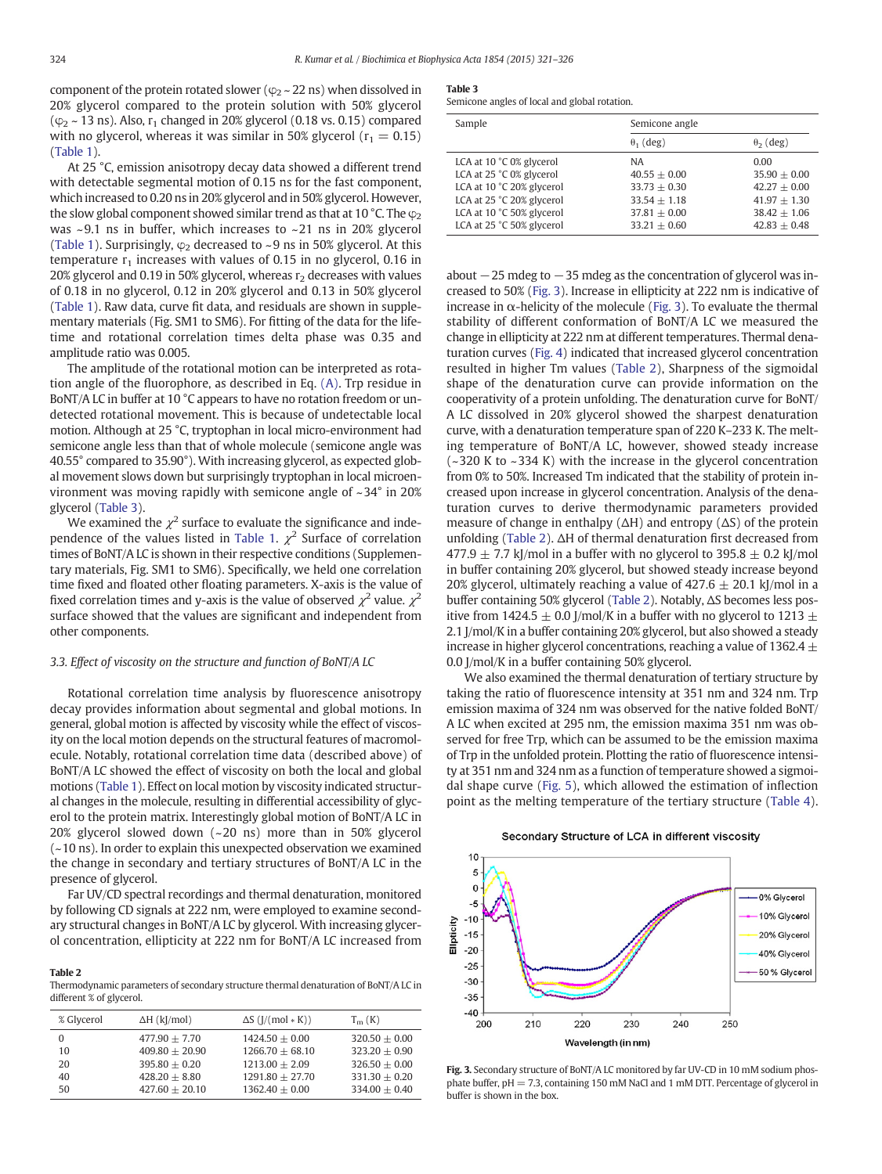<span id="page-3-0"></span>component of the protein rotated slower ( $\varphi$ <sub>22</sub> ns) when dissolved in 20% glycerol compared to the protein solution with 50% glycerol  $(\varphi_2 \sim 13 \text{ ns})$ . Also,  $r_1$  changed in 20% glycerol (0.18 vs. 0.15) compared with no glycerol, whereas it was similar in 50% glycerol ( $r_1 = 0.15$ ) [\(Table 1\)](#page-2-0).

At 25 °C, emission anisotropy decay data showed a different trend with detectable segmental motion of 0.15 ns for the fast component, which increased to 0.20 ns in 20% glycerol and in 50% glycerol. However, the slow global component showed similar trend as that at 10 °C. The  $\varphi_2$ was  $\sim$ 9.1 ns in buffer, which increases to  $\sim$ 21 ns in 20% glycerol [\(Table 1\)](#page-2-0). Surprisingly,  $\varphi_2$  decreased to ~9 ns in 50% glycerol. At this temperature  $r_1$  increases with values of 0.15 in no glycerol, 0.16 in 20% glycerol and 0.19 in 50% glycerol, whereas  $r_2$  decreases with values of 0.18 in no glycerol, 0.12 in 20% glycerol and 0.13 in 50% glycerol [\(Table 1](#page-2-0)). Raw data, curve fit data, and residuals are shown in supplementary materials (Fig. SM1 to SM6). For fitting of the data for the lifetime and rotational correlation times delta phase was 0.35 and amplitude ratio was 0.005.

The amplitude of the rotational motion can be interpreted as rotation angle of the fluorophore, as described in Eq. [\(A\).](#page-1-0) Trp residue in BoNT/A LC in buffer at 10 °C appears to have no rotation freedom or undetected rotational movement. This is because of undetectable local motion. Although at 25 °C, tryptophan in local micro-environment had semicone angle less than that of whole molecule (semicone angle was 40.55° compared to 35.90°). With increasing glycerol, as expected global movement slows down but surprisingly tryptophan in local microenvironment was moving rapidly with semicone angle of ~ 34° in 20% glycerol (Table 3).

We examined the  $\chi^2$  surface to evaluate the significance and inde-pendence of the values listed in [Table 1](#page-2-0).  $\chi^2$  Surface of correlation times of BoNT/A LC is shown in their respective conditions (Supplementary materials, Fig. SM1 to SM6). Specifically, we held one correlation time fixed and floated other floating parameters. X-axis is the value of fixed correlation times and y-axis is the value of observed  $\chi^2$  value.  $\chi^2$ surface showed that the values are significant and independent from other components.

### 3.3. Effect of viscosity on the structure and function of BoNT/A LC

Rotational correlation time analysis by fluorescence anisotropy decay provides information about segmental and global motions. In general, global motion is affected by viscosity while the effect of viscosity on the local motion depends on the structural features of macromolecule. Notably, rotational correlation time data (described above) of BoNT/A LC showed the effect of viscosity on both the local and global motions ([Table 1\)](#page-2-0). Effect on local motion by viscosity indicated structural changes in the molecule, resulting in differential accessibility of glycerol to the protein matrix. Interestingly global motion of BoNT/A LC in 20% glycerol slowed down (~20 ns) more than in 50% glycerol (~10 ns). In order to explain this unexpected observation we examined the change in secondary and tertiary structures of BoNT/A LC in the presence of glycerol.

Far UV/CD spectral recordings and thermal denaturation, monitored by following CD signals at 222 nm, were employed to examine secondary structural changes in BoNT/A LC by glycerol. With increasing glycerol concentration, ellipticity at 222 nm for BoNT/A LC increased from

Table 2

Thermodynamic parameters of secondary structure thermal denaturation of BoNT/A LC in different % of glycerol.

| % Glycerol | $\Delta H$ (kJ/mol) | $\Delta S$ ( $\left\vert / \left( \text{mol} \ast \text{K} \right) \right\rangle$ | $T_m(K)$        |
|------------|---------------------|-----------------------------------------------------------------------------------|-----------------|
| 0          | $477.90 + 7.70$     | $1424.50 + 0.00$                                                                  | $320.50 + 0.00$ |
| 10         | $409.80 + 20.90$    | $1266.70 + 68.10$                                                                 | $323.20 + 0.90$ |
| 20         | $395.80 + 0.20$     | $1213.00 + 2.09$                                                                  | $326.50 + 0.00$ |
| 40         | $428.20 + 8.80$     | $1291.80 + 27.70$                                                                 | $331.30 + 0.20$ |
| 50         | $427.60 + 20.10$    | $1362.40 + 0.00$                                                                  | $334.00 + 0.40$ |

|--|--|

| Semicone angles of local and global rotation. |  |  |  |  |  |  |  |
|-----------------------------------------------|--|--|--|--|--|--|--|
|-----------------------------------------------|--|--|--|--|--|--|--|

| Sample                                                                                                                                                                   | Semicone angle                                                                               |                                                                                                |  |  |
|--------------------------------------------------------------------------------------------------------------------------------------------------------------------------|----------------------------------------------------------------------------------------------|------------------------------------------------------------------------------------------------|--|--|
|                                                                                                                                                                          | $\theta_1$ (deg)                                                                             | $\theta_2$ (deg)                                                                               |  |  |
| LCA at 10 °C 0% glycerol<br>LCA at 25 °C 0% glycerol<br>LCA at 10 °C 20% glycerol<br>LCA at 25 °C 20% glycerol<br>LCA at 10 °C 50% glycerol<br>LCA at 25 °C 50% glycerol | NA<br>$40.55 + 0.00$<br>$33.73 + 0.30$<br>$33.54 + 1.18$<br>$37.81 + 0.00$<br>$33.21 + 0.60$ | 0.00<br>$35.90 + 0.00$<br>$42.27 + 0.00$<br>$41.97 + 1.30$<br>$38.42 + 1.06$<br>$42.83 + 0.48$ |  |  |

about −25 mdeg to −35 mdeg as the concentration of glycerol was increased to 50% (Fig. 3). Increase in ellipticity at 222 nm is indicative of increase in α-helicity of the molecule (Fig. 3). To evaluate the thermal stability of different conformation of BoNT/A LC we measured the change in ellipticity at 222 nm at different temperatures. Thermal denaturation curves [\(Fig. 4](#page-4-0)) indicated that increased glycerol concentration resulted in higher Tm values (Table 2), Sharpness of the sigmoidal shape of the denaturation curve can provide information on the cooperativity of a protein unfolding. The denaturation curve for BoNT/ A LC dissolved in 20% glycerol showed the sharpest denaturation curve, with a denaturation temperature span of 220 K–233 K. The melting temperature of BoNT/A LC, however, showed steady increase (~320 K to ~ 334 K) with the increase in the glycerol concentration from 0% to 50%. Increased Tm indicated that the stability of protein increased upon increase in glycerol concentration. Analysis of the denaturation curves to derive thermodynamic parameters provided measure of change in enthalpy  $(\Delta H)$  and entropy  $(\Delta S)$  of the protein unfolding (Table 2). ΔH of thermal denaturation first decreased from 477.9  $\pm$  7.7 kJ/mol in a buffer with no glycerol to 395.8  $\pm$  0.2 kJ/mol in buffer containing 20% glycerol, but showed steady increase beyond 20% glycerol, ultimately reaching a value of  $427.6 \pm 20.1$  kJ/mol in a buffer containing 50% glycerol (Table 2). Notably, ΔS becomes less positive from 1424.5  $\pm$  0.0 J/mol/K in a buffer with no glycerol to 1213  $\pm$ 2.1 J/mol/K in a buffer containing 20% glycerol, but also showed a steady increase in higher glycerol concentrations, reaching a value of 1362.4  $\pm$ 0.0 J/mol/K in a buffer containing 50% glycerol.

We also examined the thermal denaturation of tertiary structure by taking the ratio of fluorescence intensity at 351 nm and 324 nm. Trp emission maxima of 324 nm was observed for the native folded BoNT/ A LC when excited at 295 nm, the emission maxima 351 nm was observed for free Trp, which can be assumed to be the emission maxima of Trp in the unfolded protein. Plotting the ratio of fluorescence intensity at 351 nm and 324 nm as a function of temperature showed a sigmoidal shape curve [\(Fig. 5](#page-4-0)), which allowed the estimation of inflection point as the melting temperature of the tertiary structure ([Table 4](#page-4-0)).

Secondary Structure of LCA in different viscosity



Fig. 3. Secondary structure of BoNT/A LC monitored by far UV-CD in 10 mM sodium phosphate buffer, pH = 7.3, containing 150 mM NaCl and 1 mM DTT. Percentage of glycerol in buffer is shown in the box.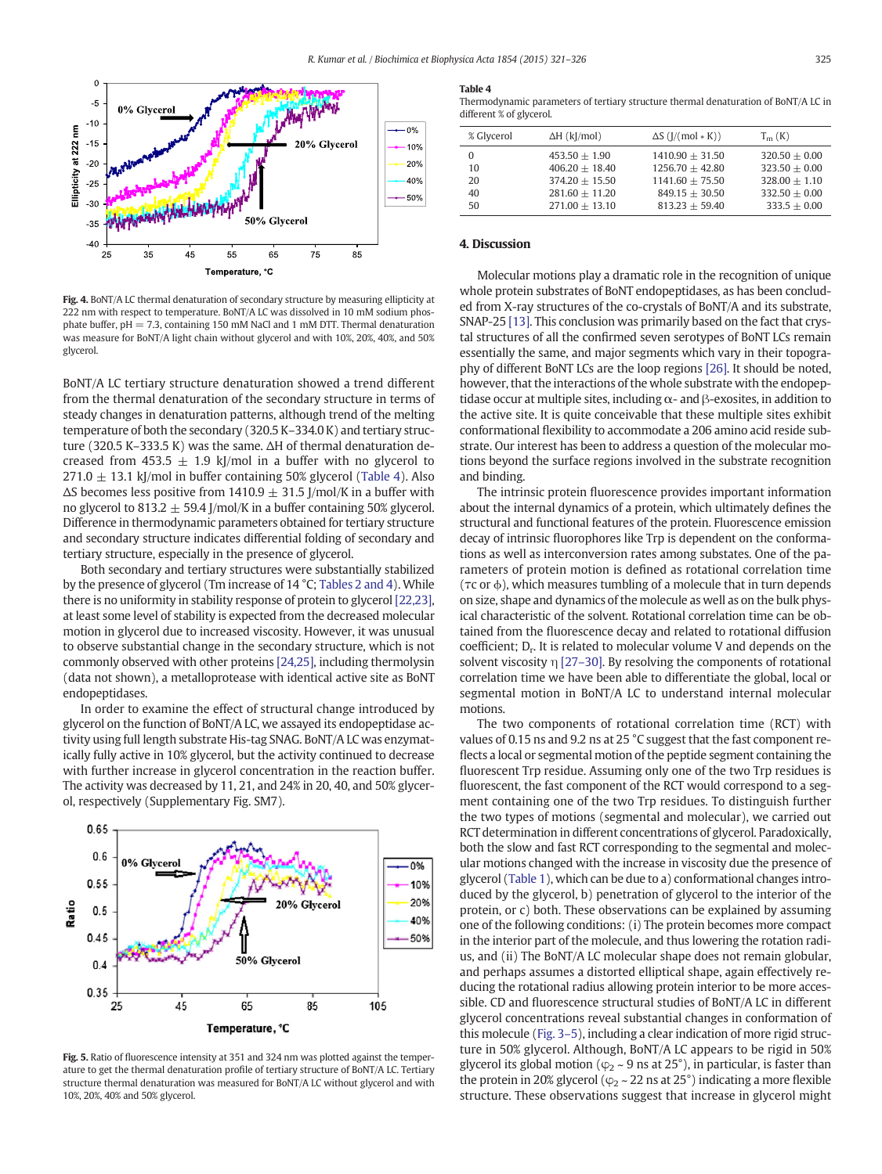<span id="page-4-0"></span>

Fig. 4. BoNT/A LC thermal denaturation of secondary structure by measuring ellipticity at 222 nm with respect to temperature. BoNT/A LC was dissolved in 10 mM sodium phosphate buffer, pH = 7.3, containing 150 mM NaCl and 1 mM DTT. Thermal denaturation was measure for BoNT/A light chain without glycerol and with 10%, 20%, 40%, and 50% glycerol.

BoNT/A LC tertiary structure denaturation showed a trend different from the thermal denaturation of the secondary structure in terms of steady changes in denaturation patterns, although trend of the melting temperature of both the secondary (320.5 K–334.0 K) and tertiary structure (320.5 K–333.5 K) was the same. ΔH of thermal denaturation decreased from 453.5  $\pm$  1.9 kJ/mol in a buffer with no glycerol to  $271.0 \pm 13.1$  kJ/mol in buffer containing 50% glycerol (Table 4). Also  $\Delta S$  becomes less positive from 1410.9  $\pm$  31.5 J/mol/K in a buffer with no glycerol to 813.2  $\pm$  59.4 J/mol/K in a buffer containing 50% glycerol. Difference in thermodynamic parameters obtained for tertiary structure and secondary structure indicates differential folding of secondary and tertiary structure, especially in the presence of glycerol.

Both secondary and tertiary structures were substantially stabilized by the presence of glycerol (Tm increase of 14 °C; [Tables 2 and 4](#page-3-0)). While there is no uniformity in stability response of protein to glycerol [\[22,23\],](#page-5-0) at least some level of stability is expected from the decreased molecular motion in glycerol due to increased viscosity. However, it was unusual to observe substantial change in the secondary structure, which is not commonly observed with other proteins [\[24,25\],](#page-5-0) including thermolysin (data not shown), a metalloprotease with identical active site as BoNT endopeptidases.

In order to examine the effect of structural change introduced by glycerol on the function of BoNT/A LC, we assayed its endopeptidase activity using full length substrate His-tag SNAG. BoNT/A LC was enzymatically fully active in 10% glycerol, but the activity continued to decrease with further increase in glycerol concentration in the reaction buffer. The activity was decreased by 11, 21, and 24% in 20, 40, and 50% glycerol, respectively (Supplementary Fig. SM7).



Fig. 5. Ratio of fluorescence intensity at 351 and 324 nm was plotted against the temperature to get the thermal denaturation profile of tertiary structure of BoNT/A LC. Tertiary structure thermal denaturation was measured for BoNT/A LC without glycerol and with 10%, 20%, 40% and 50% glycerol.

#### Table 4

Thermodynamic parameters of tertiary structure thermal denaturation of BoNT/A LC in different % of glycerol.

| % Glycerol | $\Delta H$ (kJ/mol) | $\Delta S$ ( $\left\vert / \right\vert$ mol $\ast$ K)) | $T_m(K)$        |
|------------|---------------------|--------------------------------------------------------|-----------------|
| 0          | $453.50 + 1.90$     | $1410.90 + 31.50$                                      | $320.50 + 0.00$ |
| 10         | $406.20 + 18.40$    | $1256.70 + 42.80$                                      | $323.50 + 0.00$ |
| 20         | $374.20 + 15.50$    | $1141.60 + 75.50$                                      | $328.00 + 1.10$ |
| 40         | $281.60 + 11.20$    | $849.15 + 30.50$                                       | $332.50 + 0.00$ |
| 50         | $271.00 + 13.10$    | $813.23 + 59.40$                                       | $333.5 + 0.00$  |
|            |                     |                                                        |                 |

#### 4. Discussion

Molecular motions play a dramatic role in the recognition of unique whole protein substrates of BoNT endopeptidases, as has been concluded from X-ray structures of the co-crystals of BoNT/A and its substrate, SNAP-25 [\[13\].](#page-5-0) This conclusion was primarily based on the fact that crystal structures of all the confirmed seven serotypes of BoNT LCs remain essentially the same, and major segments which vary in their topography of different BoNT LCs are the loop regions [\[26\]](#page-5-0). It should be noted, however, that the interactions of the whole substrate with the endopeptidase occur at multiple sites, including  $\alpha$ - and  $\beta$ -exosites, in addition to the active site. It is quite conceivable that these multiple sites exhibit conformational flexibility to accommodate a 206 amino acid reside substrate. Our interest has been to address a question of the molecular motions beyond the surface regions involved in the substrate recognition and binding.

The intrinsic protein fluorescence provides important information about the internal dynamics of a protein, which ultimately defines the structural and functional features of the protein. Fluorescence emission decay of intrinsic fluorophores like Trp is dependent on the conformations as well as interconversion rates among substates. One of the parameters of protein motion is defined as rotational correlation time (τc or ϕ), which measures tumbling of a molecule that in turn depends on size, shape and dynamics of the molecule as well as on the bulk physical characteristic of the solvent. Rotational correlation time can be obtained from the fluorescence decay and related to rotational diffusion coefficient;  $D_r$ . It is related to molecular volume V and depends on the solvent viscosity η [27–[30\].](#page-5-0) By resolving the components of rotational correlation time we have been able to differentiate the global, local or segmental motion in BoNT/A LC to understand internal molecular motions.

The two components of rotational correlation time (RCT) with values of 0.15 ns and 9.2 ns at 25 °C suggest that the fast component reflects a local or segmental motion of the peptide segment containing the fluorescent Trp residue. Assuming only one of the two Trp residues is fluorescent, the fast component of the RCT would correspond to a segment containing one of the two Trp residues. To distinguish further the two types of motions (segmental and molecular), we carried out RCT determination in different concentrations of glycerol. Paradoxically, both the slow and fast RCT corresponding to the segmental and molecular motions changed with the increase in viscosity due the presence of glycerol ([Table 1\)](#page-2-0), which can be due to a) conformational changes introduced by the glycerol, b) penetration of glycerol to the interior of the protein, or c) both. These observations can be explained by assuming one of the following conditions: (i) The protein becomes more compact in the interior part of the molecule, and thus lowering the rotation radius, and (ii) The BoNT/A LC molecular shape does not remain globular, and perhaps assumes a distorted elliptical shape, again effectively reducing the rotational radius allowing protein interior to be more accessible. CD and fluorescence structural studies of BoNT/A LC in different glycerol concentrations reveal substantial changes in conformation of this molecule ([Fig. 3](#page-3-0)–5), including a clear indication of more rigid structure in 50% glycerol. Although, BoNT/A LC appears to be rigid in 50% glycerol its global motion ( $\varphi$ <sub>2</sub> ~ 9 ns at 25°), in particular, is faster than the protein in 20% glycerol ( $\varphi$ <sub>2</sub> ~ 22 ns at 25°) indicating a more flexible structure. These observations suggest that increase in glycerol might